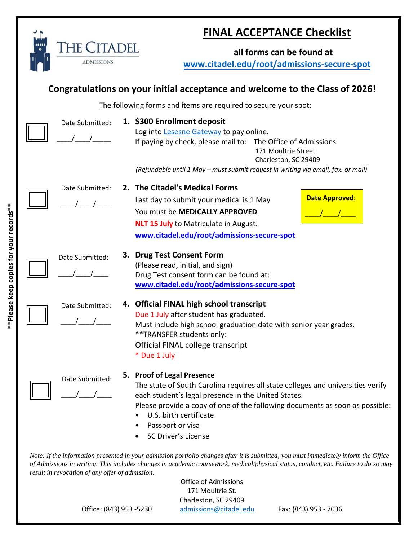|                                                                                                                                                                                                                                                                                                                                                                                   | <b>THE CITADEL</b> | <b>FINAL ACCEPTANCE Checklist</b><br>all forms can be found at                                                                                                                                                                                                                                                                   |
|-----------------------------------------------------------------------------------------------------------------------------------------------------------------------------------------------------------------------------------------------------------------------------------------------------------------------------------------------------------------------------------|--------------------|----------------------------------------------------------------------------------------------------------------------------------------------------------------------------------------------------------------------------------------------------------------------------------------------------------------------------------|
|                                                                                                                                                                                                                                                                                                                                                                                   | <b>ADMISSIONS</b>  | www.citadel.edu/root/admissions-secure-spot                                                                                                                                                                                                                                                                                      |
| Congratulations on your initial acceptance and welcome to the Class of 2026!                                                                                                                                                                                                                                                                                                      |                    |                                                                                                                                                                                                                                                                                                                                  |
|                                                                                                                                                                                                                                                                                                                                                                                   |                    | The following forms and items are required to secure your spot:                                                                                                                                                                                                                                                                  |
|                                                                                                                                                                                                                                                                                                                                                                                   | Date Submitted:    | 1. \$300 Enrollment deposit<br>Log into Lesesne Gateway to pay online.<br>If paying by check, please mail to: The Office of Admissions<br>171 Moultrie Street<br>Charleston, SC 29409<br>(Refundable until 1 May - must submit request in writing via email, fax, or mail)                                                       |
|                                                                                                                                                                                                                                                                                                                                                                                   | Date Submitted:    | 2. The Citadel's Medical Forms<br><b>Date Approved:</b><br>Last day to submit your medical is 1 May.<br>You must be MEDICALLY APPROVED<br><b>NLT 15 July to Matriculate in August.</b><br>www.citadel.edu/root/admissions-secure-spot                                                                                            |
|                                                                                                                                                                                                                                                                                                                                                                                   | Date Submitted:    | 3. Drug Test Consent Form<br>(Please read, initial, and sign)<br>Drug Test consent form can be found at:<br>www.citadel.edu/root/admissions-secure-spot                                                                                                                                                                          |
|                                                                                                                                                                                                                                                                                                                                                                                   | Date Submitted:    | 4. Official FINAL high school transcript<br>Due 1 July after student has graduated.<br>Must include high school graduation date with senior year grades.<br>** TRANSFER students only:<br>Official FINAL college transcript<br>* Due 1 July                                                                                      |
|                                                                                                                                                                                                                                                                                                                                                                                   | Date Submitted:    | 5. Proof of Legal Presence<br>The state of South Carolina requires all state colleges and universities verify<br>each student's legal presence in the United States.<br>Please provide a copy of one of the following documents as soon as possible:<br>U.S. birth certificate<br>Passport or visa<br><b>SC Driver's License</b> |
| Note: If the information presented in your admission portfolio changes after it is submitted, you must immediately inform the Office<br>of Admissions in writing. This includes changes in academic coursework, medical/physical status, conduct, etc. Failure to do so may<br>result in revocation of any offer of admission.<br><b>Office of Admissions</b><br>171 Moultrie St. |                    |                                                                                                                                                                                                                                                                                                                                  |

Charleston, SC 29409

Office: (843) 953 -5230 **[admissions@citadel.edu](mailto:admissions@citadel.edu)** Fax: (843) 953 - 7036